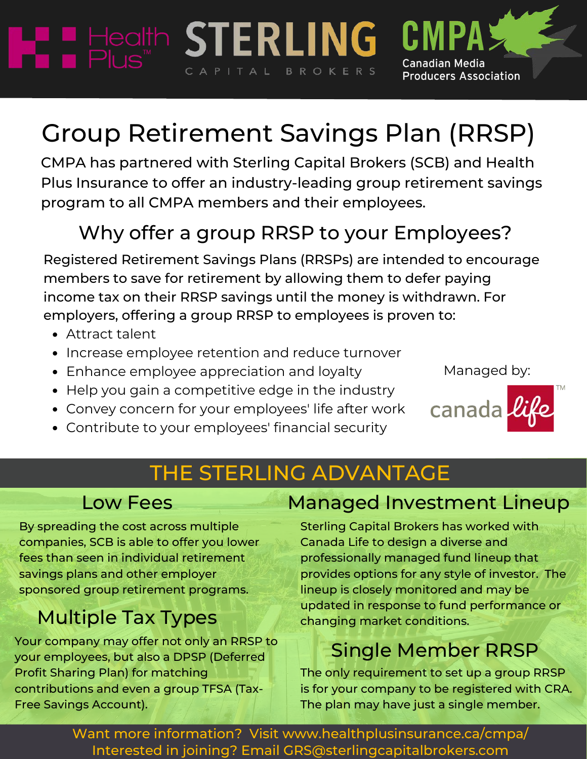# Group Retirement Savings Plan (RRSP)

CAPITAL BROKERS

CMPA has partnered with Sterling Capital Brokers (SCB) and Health Plus Insurance to offer an industry-leading group retirement savings program to all CMPA members and their employees.

### Why offer a group RRSP to your Employees?

Registered Retirement Savings Plans (RRSPs) are intended to encourage members to save for retirement by allowing them to defer paying income tax on their RRSP savings until the money is withdrawn. For employers, offering a group RRSP to employees is proven to:

- Attract talent
- Increase employee retention and reduce turnover
- Enhance employee appreciation and loyalty

HE Health STERLING

- Help you gain a competitive edge in the industry
- Convey concern for your employees' life after work
- Contribute to your employees' financial security

### THE STERLING ADVANTAGE

By spreading the cost across multiple companies, SCB is able to offer you lower fees than seen in individual retirement savings plans and other employer sponsored group retirement programs.

### Multiple Tax Types

Your company may offer not only an RRSP to your employees, but also a DPSP (Deferred Profit Sharing Plan) for matching contributions and even a group TFSA (Tax-Free Savings Account).

### Low Fees Managed Investment Lineup

**Canadian Media** 

**Producers Association** 

Managed by:

canada

Sterling Capital Brokers has worked with Canada Life to design a diverse and professionally managed fund lineup that provides options for any style of investor. The lineup is closely monitored and may be updated in response to fund performance or changing market conditions.

### Single Member RRSP

The only requirement to set up a group RRSP is for your company to be registered with CRA. The plan may have just a single member.

Interested in joining? Email GRS@sterlingcapitalbrokers.com Want more information? Visit www.healthplusinsurance.ca/cmpa/